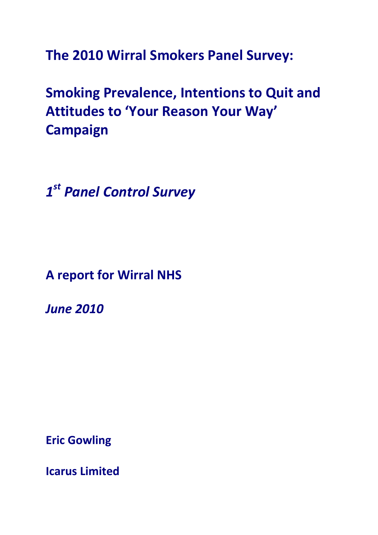**The 2010 Wirral Smokers Panel Survey:** 

**Smoking Prevalence, Intentions to Quit and Attitudes to 'Your Reason Your Way' Campaign**

*1st Panel Control Survey*

**A report for Wirral NHS**

*June 2010*

**Eric Gowling**

**Icarus Limited**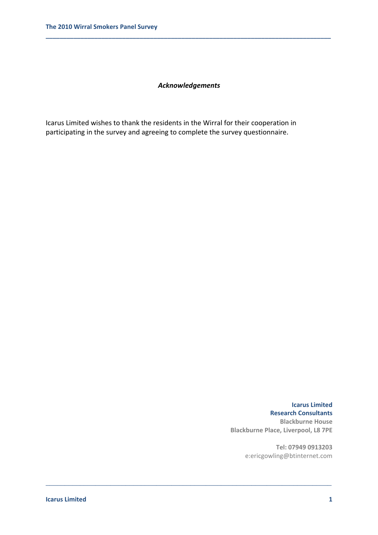## *Acknowledgements*

\_\_\_\_\_\_\_\_\_\_\_\_\_\_\_\_\_\_\_\_\_\_\_\_\_\_\_\_\_\_\_\_\_\_\_\_\_\_\_\_\_\_\_\_\_\_\_\_\_\_\_\_\_\_\_\_\_\_\_\_\_\_\_\_\_\_\_\_\_\_\_\_\_\_\_

**\_\_\_\_\_\_\_\_\_\_\_\_\_\_\_\_\_\_\_\_\_\_\_\_\_\_\_\_\_\_\_\_\_\_\_\_\_\_\_\_\_\_\_\_\_\_\_\_\_\_\_\_\_\_\_\_\_\_\_\_\_\_\_\_\_\_\_\_\_\_\_\_\_\_\_\_\_\_\_\_\_\_**

Icarus Limited wishes to thank the residents in the Wirral for their cooperation in participating in the survey and agreeing to complete the survey questionnaire.

> **Icarus Limited Research Consultants Blackburne House Blackburne Place, Liverpool, L8 7PE**

> > **Tel: 07949 0913203** e:ericgowling@btinternet.com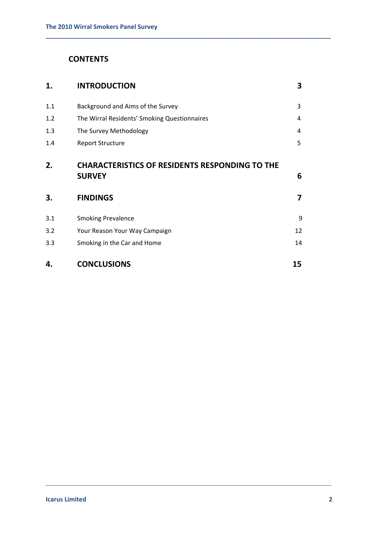# **CONTENTS**

| 1.  | <b>INTRODUCTION</b>                                                    | 3  |
|-----|------------------------------------------------------------------------|----|
| 1.1 | Background and Aims of the Survey                                      | 3  |
| 1.2 | The Wirral Residents' Smoking Questionnaires                           | 4  |
| 1.3 | The Survey Methodology                                                 | 4  |
| 1.4 | <b>Report Structure</b>                                                | 5  |
| 2.  | <b>CHARACTERISTICS OF RESIDENTS RESPONDING TO THE</b><br><b>SURVEY</b> | 6  |
| 3.  | <b>FINDINGS</b>                                                        | 7  |
| 3.1 | <b>Smoking Prevalence</b>                                              | 9  |
| 3.2 | Your Reason Your Way Campaign                                          | 12 |
| 3.3 | Smoking in the Car and Home                                            | 14 |
| 4.  | <b>CONCLUSIONS</b>                                                     | 15 |

\_\_\_\_\_\_\_\_\_\_\_\_\_\_\_\_\_\_\_\_\_\_\_\_\_\_\_\_\_\_\_\_\_\_\_\_\_\_\_\_\_\_\_\_\_\_\_\_\_\_\_\_\_\_\_\_\_\_\_\_\_\_\_\_\_\_\_\_\_\_\_\_\_\_\_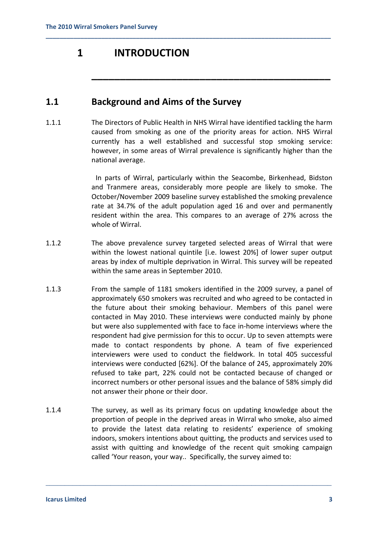# **1 INTRODUCTION**

# **1.1 Background and Aims of the Survey**

1.1.1 The Directors of Public Health in NHS Wirral have identified tackling the harm caused from smoking as one of the priority areas for action. NHS Wirral currently has a well established and successful stop smoking service: however, in some areas of Wirral prevalence is significantly higher than the national average.

**\_\_\_\_\_\_\_\_\_\_\_\_\_\_\_\_\_\_\_\_\_\_\_\_\_\_\_\_\_\_\_\_\_\_\_\_\_\_\_\_\_\_\_\_\_\_\_\_\_\_\_\_\_\_\_\_\_\_\_\_\_\_\_\_\_\_\_\_\_\_\_\_\_\_\_\_\_\_\_\_\_\_**

 In parts of Wirral, particularly within the Seacombe, Birkenhead, Bidston and Tranmere areas, considerably more people are likely to smoke. The October/November 2009 baseline survey established the smoking prevalence rate at 34.7% of the adult population aged 16 and over and permanently resident within the area. This compares to an average of 27% across the whole of Wirral.

**\_\_\_\_\_\_\_\_\_\_\_\_\_\_\_\_\_\_\_\_\_\_\_\_\_\_\_\_\_\_\_\_\_\_\_\_\_\_\_\_\_\_**

- 1.1.2 The above prevalence survey targeted selected areas of Wirral that were within the lowest national quintile [i.e. lowest 20%] of lower super output areas by index of multiple deprivation in Wirral. This survey will be repeated within the same areas in September 2010.
- 1.1.3 From the sample of 1181 smokers identified in the 2009 survey, a panel of approximately 650 smokers was recruited and who agreed to be contacted in the future about their smoking behaviour. Members of this panel were contacted in May 2010. These interviews were conducted mainly by phone but were also supplemented with face to face in‐home interviews where the respondent had give permission for this to occur. Up to seven attempts were made to contact respondents by phone. A team of five experienced interviewers were used to conduct the fieldwork. In total 405 successful interviews were conducted [62%]. Of the balance of 245, approximately 20% refused to take part, 22% could not be contacted because of changed or incorrect numbers or other personal issues and the balance of 58% simply did not answer their phone or their door.
- 1.1.4 The survey, as well as its primary focus on updating knowledge about the proportion of people in the deprived areas in Wirral who smoke, also aimed to provide the latest data relating to residents' experience of smoking indoors, smokers intentions about quitting, the products and services used to assist with quitting and knowledge of the recent quit smoking campaign called 'Your reason, your way.. Specifically, the survey aimed to: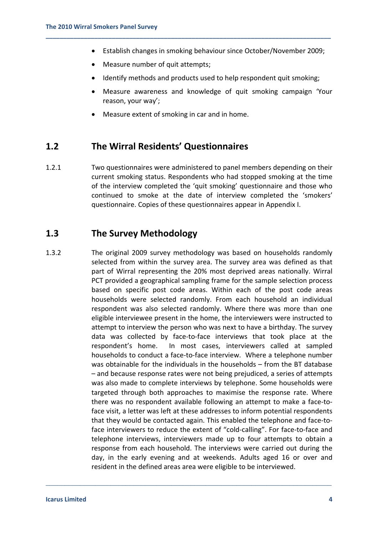• Establish changes in smoking behaviour since October/November 2009;

**\_\_\_\_\_\_\_\_\_\_\_\_\_\_\_\_\_\_\_\_\_\_\_\_\_\_\_\_\_\_\_\_\_\_\_\_\_\_\_\_\_\_\_\_\_\_\_\_\_\_\_\_\_\_\_\_\_\_\_\_\_\_\_\_\_\_\_\_\_\_\_\_\_\_\_\_\_\_\_\_\_\_**

- Measure number of quit attempts;
- Identify methods and products used to help respondent quit smoking;
- Measure awareness and knowledge of quit smoking campaign 'Your reason, your way';
- Measure extent of smoking in car and in home.

## **1.2 The Wirral Residents' Questionnaires**

1.2.1 Two questionnaires were administered to panel members depending on their current smoking status. Respondents who had stopped smoking at the time of the interview completed the 'quit smoking' questionnaire and those who continued to smoke at the date of interview completed the 'smokers' questionnaire. Copies of these questionnaires appear in Appendix I.

# **1.3 The Survey Methodology**

1.3.2 The original 2009 survey methodology was based on households randomly selected from within the survey area. The survey area was defined as that part of Wirral representing the 20% most deprived areas nationally. Wirral PCT provided a geographical sampling frame for the sample selection process based on specific post code areas. Within each of the post code areas households were selected randomly. From each household an individual respondent was also selected randomly. Where there was more than one eligible interviewee present in the home, the interviewers were instructed to attempt to interview the person who was next to have a birthday. The survey data was collected by face‐to‐face interviews that took place at the respondent's home. In most cases, interviewers called at sampled households to conduct a face‐to‐face interview. Where a telephone number was obtainable for the individuals in the households – from the BT database – and because response rates were not being prejudiced, a series of attempts was also made to complete interviews by telephone. Some households were targeted through both approaches to maximise the response rate. Where there was no respondent available following an attempt to make a face-toface visit, a letter was left at these addresses to inform potential respondents that they would be contacted again. This enabled the telephone and face-toface interviewers to reduce the extent of "cold‐calling". For face‐to‐face and telephone interviews, interviewers made up to four attempts to obtain a response from each household. The interviews were carried out during the day, in the early evening and at weekends. Adults aged 16 or over and resident in the defined areas area were eligible to be interviewed.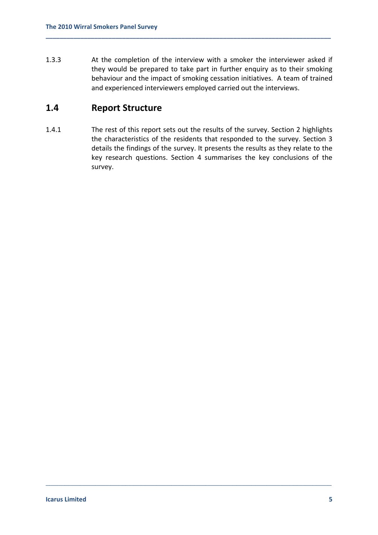1.3.3 At the completion of the interview with a smoker the interviewer asked if they would be prepared to take part in further enquiry as to their smoking behaviour and the impact of smoking cessation initiatives. A team of trained and experienced interviewers employed carried out the interviews.

**\_\_\_\_\_\_\_\_\_\_\_\_\_\_\_\_\_\_\_\_\_\_\_\_\_\_\_\_\_\_\_\_\_\_\_\_\_\_\_\_\_\_\_\_\_\_\_\_\_\_\_\_\_\_\_\_\_\_\_\_\_\_\_\_\_\_\_\_\_\_\_\_\_\_\_\_\_\_\_\_\_\_**

# **1.4 Report Structure**

1.4.1 The rest of this report sets out the results of the survey. Section 2 highlights the characteristics of the residents that responded to the survey. Section 3 details the findings of the survey. It presents the results as they relate to the key research questions. Section 4 summarises the key conclusions of the survey.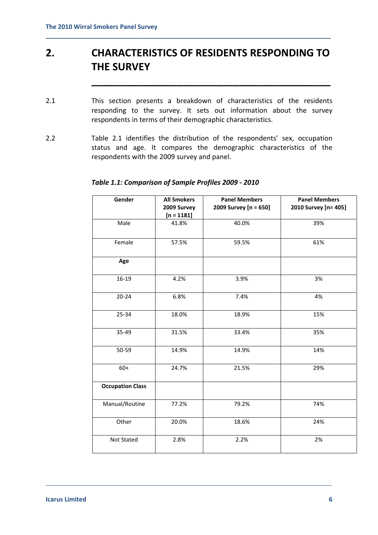# **2. CHARACTERISTICS OF RESIDENTS RESPONDING TO THE SURVEY**

**\_\_\_\_\_\_\_\_\_\_\_\_\_\_\_\_\_\_\_\_\_\_\_\_\_\_\_\_\_\_\_\_\_\_\_\_\_\_\_\_\_\_**

**\_\_\_\_\_\_\_\_\_\_\_\_\_\_\_\_\_\_\_\_\_\_\_\_\_\_\_\_\_\_\_\_\_\_\_\_\_\_\_\_\_\_\_\_\_\_\_\_\_\_\_\_\_\_\_\_\_\_\_\_\_\_\_\_\_\_\_\_\_\_\_\_\_\_\_\_\_\_\_\_\_\_**

- 2.1 This section presents a breakdown of characteristics of the residents responding to the survey. It sets out information about the survey respondents in terms of their demographic characteristics.
- 2.2 Table 2.1 identifies the distribution of the respondents' sex, occupation status and age. It compares the demographic characteristics of the respondents with the 2009 survey and panel.

| Gender                  | <b>All Smokers</b><br>2009 Survey<br>$[n = 1181]$ | <b>Panel Members</b><br>2009 Survey [n = 650] | <b>Panel Members</b><br>2010 Survey [n= 405] |
|-------------------------|---------------------------------------------------|-----------------------------------------------|----------------------------------------------|
| Male                    | 41.8%                                             | 40.0%                                         | 39%                                          |
| Female                  | 57.5%                                             | 59.5%                                         | 61%                                          |
| Age                     |                                                   |                                               |                                              |
| 16-19                   | 4.2%                                              | 3.9%                                          | 3%                                           |
| $20 - 24$               | 6.8%                                              | 7.4%                                          | 4%                                           |
| 25-34                   | 18.0%                                             | 18.9%                                         | 15%                                          |
| 35-49                   | 31.5%                                             | 33.4%                                         | 35%                                          |
| 50-59                   | 14.9%                                             | 14.9%                                         | 14%                                          |
| $60+$                   | 24.7%                                             | 21.5%                                         | 29%                                          |
| <b>Occupation Class</b> |                                                   |                                               |                                              |
| Manual/Routine          | 77.2%                                             | 79.2%                                         | 74%                                          |
| Other                   | 20.0%                                             | 18.6%                                         | 24%                                          |
| Not Stated              | 2.8%                                              | 2.2%                                          | 2%                                           |

\_\_\_\_\_\_\_\_\_\_\_\_\_\_\_\_\_\_\_\_\_\_\_\_\_\_\_\_\_\_\_\_\_\_\_\_\_\_\_\_\_\_\_\_\_\_\_\_\_\_\_\_\_\_\_\_\_\_\_\_\_\_\_\_\_\_\_\_\_\_\_\_\_\_\_

## *Table 1.1: Comparison of Sample Profiles 2009 ‐ 2010*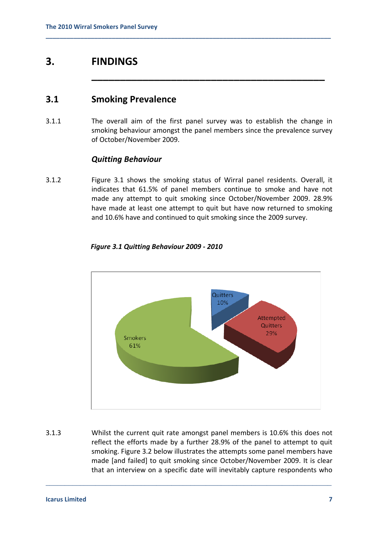# **3. FINDINGS**

# **3.1 Smoking Prevalence**

3.1.1 The overall aim of the first panel survey was to establish the change in smoking behaviour amongst the panel members since the prevalence survey of October/November 2009.

**\_\_\_\_\_\_\_\_\_\_\_\_\_\_\_\_\_\_\_\_\_\_\_\_\_\_\_\_\_\_\_\_\_\_\_\_\_\_\_\_\_\_\_\_\_\_\_\_\_\_\_\_\_\_\_\_\_\_\_\_\_\_\_\_\_\_\_\_\_\_\_\_\_\_\_\_\_\_\_\_\_\_**

**\_\_\_\_\_\_\_\_\_\_\_\_\_\_\_\_\_\_\_\_\_\_\_\_\_\_\_\_\_\_\_\_\_\_\_\_\_\_\_\_\_**

## *Quitting Behaviour*

3.1.2 Figure 3.1 shows the smoking status of Wirral panel residents. Overall, it indicates that 61.5% of panel members continue to smoke and have not made any attempt to quit smoking since October/November 2009. 28.9% have made at least one attempt to quit but have now returned to smoking and 10.6% have and continued to quit smoking since the 2009 survey.



## *Figure 3.1 Quitting Behaviour 2009 ‐ 2010*

3.1.3 Whilst the current quit rate amongst panel members is 10.6% this does not reflect the efforts made by a further 28.9% of the panel to attempt to quit smoking. Figure 3.2 below illustrates the attempts some panel members have made [and failed] to quit smoking since October/November 2009. It is clear that an interview on a specific date will inevitably capture respondents who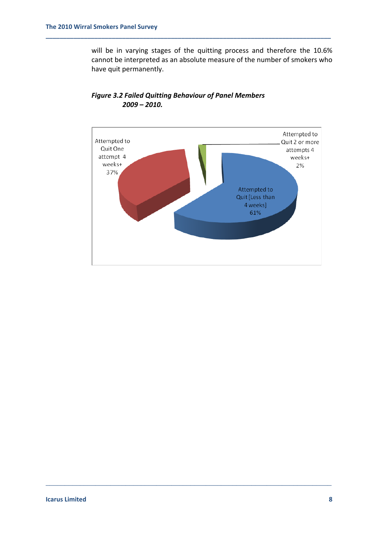will be in varying stages of the quitting process and therefore the 10.6% cannot be interpreted as an absolute measure of the number of smokers who have quit permanently.



\_\_\_\_\_\_\_\_\_\_\_\_\_\_\_\_\_\_\_\_\_\_\_\_\_\_\_\_\_\_\_\_\_\_\_\_\_\_\_\_\_\_\_\_\_\_\_\_\_\_\_\_\_\_\_\_\_\_\_\_\_\_\_\_\_\_\_\_\_\_\_\_\_\_\_

## *Figure 3.2 Failed Quitting Behaviour of Panel Members 2009 – 2010.*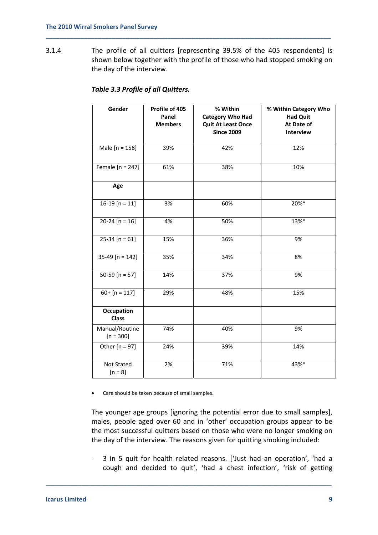3.1.4 The profile of all quitters [representing 39.5% of the 405 respondents] is shown below together with the profile of those who had stopped smoking on the day of the interview.

**\_\_\_\_\_\_\_\_\_\_\_\_\_\_\_\_\_\_\_\_\_\_\_\_\_\_\_\_\_\_\_\_\_\_\_\_\_\_\_\_\_\_\_\_\_\_\_\_\_\_\_\_\_\_\_\_\_\_\_\_\_\_\_\_\_\_\_\_\_\_\_\_\_\_\_\_\_\_\_\_\_\_**

| Gender                            | Profile of 405<br>Panel<br><b>Members</b> | % Within<br><b>Category Who Had</b><br><b>Quit At Least Once</b> | % Within Category Who<br><b>Had Quit</b><br>At Date of |
|-----------------------------------|-------------------------------------------|------------------------------------------------------------------|--------------------------------------------------------|
|                                   |                                           | <b>Since 2009</b>                                                | Interview                                              |
| Male [n = 158]                    | 39%                                       | 42%                                                              | 12%                                                    |
| Female $[n = 247]$                | 61%                                       | 38%                                                              | 10%                                                    |
| Age                               |                                           |                                                                  |                                                        |
| 16-19 $[n = 11]$                  | 3%                                        | 60%                                                              | 20%*                                                   |
| $20-24 [n = 16]$                  | 4%                                        | 50%                                                              | 13%*                                                   |
| $25-34 [n = 61]$                  | 15%                                       | 36%                                                              | 9%                                                     |
| 35-49 [n = 142]                   | 35%                                       | 34%                                                              | 8%                                                     |
| 50-59 [ $n = 57$ ]                | 14%                                       | 37%                                                              | 9%                                                     |
| $60+$ [n = 117]                   | 29%                                       | 48%                                                              | 15%                                                    |
| <b>Occupation</b><br><b>Class</b> |                                           |                                                                  |                                                        |
| Manual/Routine<br>$[n = 300]$     | 74%                                       | 40%                                                              | 9%                                                     |
| Other $[n = 97]$                  | 24%                                       | 39%                                                              | 14%                                                    |
| Not Stated<br>$[n = 8]$           | 2%                                        | 71%                                                              | 43%*                                                   |

## *Table 3.3 Profile of all Quitters.*

• Care should be taken because of small samples.

The younger age groups [ignoring the potential error due to small samples], males, people aged over 60 and in 'other' occupation groups appear to be the most successful quitters based on those who were no longer smoking on the day of the interview. The reasons given for quitting smoking included:

‐ 3 in 5 quit for health related reasons. ['Just had an operation', 'had a cough and decided to quit', 'had a chest infection', 'risk of getting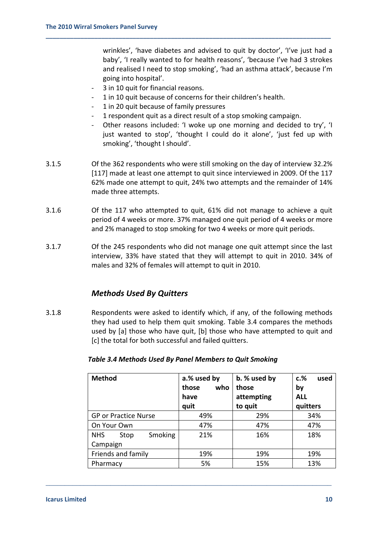wrinkles', 'have diabetes and advised to quit by doctor', 'I've just had a baby', 'I really wanted to for health reasons', 'because I've had 3 strokes and realised I need to stop smoking', 'had an asthma attack', because I'm going into hospital'.

- 3 in 10 quit for financial reasons.
- ‐ 1 in 10 quit because of concerns for their children's health.

**\_\_\_\_\_\_\_\_\_\_\_\_\_\_\_\_\_\_\_\_\_\_\_\_\_\_\_\_\_\_\_\_\_\_\_\_\_\_\_\_\_\_\_\_\_\_\_\_\_\_\_\_\_\_\_\_\_\_\_\_\_\_\_\_\_\_\_\_\_\_\_\_\_\_\_\_\_\_\_\_\_\_**

- ‐ 1 in 20 quit because of family pressures
- ‐ 1 respondent quit as a direct result of a stop smoking campaign.
- Other reasons included: 'I woke up one morning and decided to try', 'I just wanted to stop', 'thought I could do it alone', 'just fed up with smoking', 'thought I should'.
- 3.1.5 Of the 362 respondents who were still smoking on the day of interview 32.2% [117] made at least one attempt to quit since interviewed in 2009. Of the 117 62% made one attempt to quit, 24% two attempts and the remainder of 14% made three attempts.
- 3.1.6 Of the 117 who attempted to quit, 61% did not manage to achieve a quit period of 4 weeks or more. 37% managed one quit period of 4 weeks or more and 2% managed to stop smoking for two 4 weeks or more quit periods.
- 3.1.7 Of the 245 respondents who did not manage one quit attempt since the last interview, 33% have stated that they will attempt to quit in 2010. 34% of males and 32% of females will attempt to quit in 2010.

## *Methods Used By Quitters*

3.1.8 Respondents were asked to identify which, if any, of the following methods they had used to help them quit smoking. Table 3.4 compares the methods used by [a] those who have quit, [b] those who have attempted to quit and [c] the total for both successful and failed quitters.

| <b>Method</b>                 | a.% used by<br>who<br>those<br>have<br>quit | b. % used by<br>those<br>attempting<br>to quit | $c.\%$<br>used<br>by<br><b>ALL</b><br>quitters |
|-------------------------------|---------------------------------------------|------------------------------------------------|------------------------------------------------|
| <b>GP or Practice Nurse</b>   | 49%                                         | 29%                                            | 34%                                            |
| On Your Own                   | 47%                                         | 47%                                            | 47%                                            |
| Smoking<br><b>NHS</b><br>Stop | 21%                                         | 16%                                            | 18%                                            |
| Campaign                      |                                             |                                                |                                                |
| Friends and family            | 19%                                         | 19%                                            | 19%                                            |
| Pharmacy                      | 5%                                          | 15%                                            | 13%                                            |

### *Table 3.4 Methods Used By Panel Members to Quit Smoking*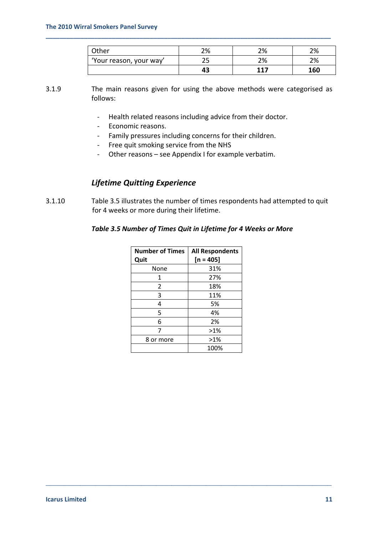| <b>Other</b>           | 70/<br>270 | ว०⁄<br>270 | 2%  |
|------------------------|------------|------------|-----|
| Your reason, your way' | ر ے        | 2%         | 2%  |
|                        |            | <b>117</b> | 160 |

3.1.9 The main reasons given for using the above methods were categorised as follows:

**\_\_\_\_\_\_\_\_\_\_\_\_\_\_\_\_\_\_\_\_\_\_\_\_\_\_\_\_\_\_\_\_\_\_\_\_\_\_\_\_\_\_\_\_\_\_\_\_\_\_\_\_\_\_\_\_\_\_\_\_\_\_\_\_\_\_\_\_\_\_\_\_\_\_\_\_\_\_\_\_\_\_**

- ‐ Health related reasons including advice from their doctor.
- ‐ Economic reasons.
- ‐ Family pressures including concerns for their children.
- ‐ Free quit smoking service from the NHS
- ‐ Other reasons see Appendix I for example verbatim.

## *Lifetime Quitting Experience*

3.1.10 Table 3.5 illustrates the number of times respondents had attempted to quit for 4 weeks or more during their lifetime.

### *Table 3.5 Number of Times Quit in Lifetime for 4 Weeks or More*

| <b>Number of Times</b> | <b>All Respondents</b> |
|------------------------|------------------------|
| Quit                   | $[n = 405]$            |
| None                   | 31%                    |
| 1                      | 27%                    |
| 2                      | 18%                    |
| 3                      | 11%                    |
| 4                      | 5%                     |
| 5                      | 4%                     |
| 6                      | 2%                     |
| 7                      | $>1\%$                 |
| 8 or more              | $>1\%$                 |
|                        | 100%                   |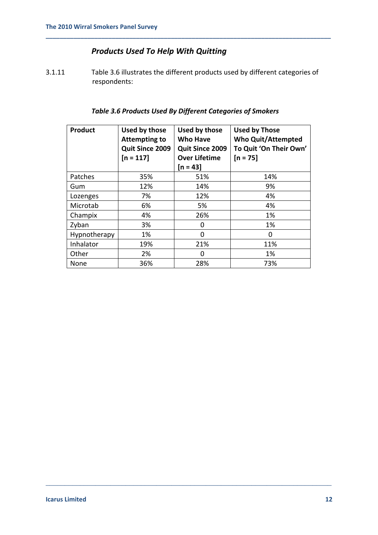# *Products Used To Help With Quitting*

3.1.11 Table 3.6 illustrates the different products used by different categories of respondents:

**\_\_\_\_\_\_\_\_\_\_\_\_\_\_\_\_\_\_\_\_\_\_\_\_\_\_\_\_\_\_\_\_\_\_\_\_\_\_\_\_\_\_\_\_\_\_\_\_\_\_\_\_\_\_\_\_\_\_\_\_\_\_\_\_\_\_\_\_\_\_\_\_\_\_\_\_\_\_\_\_\_\_**

## *Table 3.6 Products Used By Different Categories of Smokers*

| <b>Product</b> | Used by those<br>Attempting to<br>Quit Since 2009<br>$[n = 117]$ | Used by those<br><b>Who Have</b><br><b>Quit Since 2009</b><br><b>Over Lifetime</b><br>$[n = 43]$ | <b>Used by Those</b><br><b>Who Quit/Attempted</b><br>To Quit 'On Their Own'<br>$[n = 75]$ |
|----------------|------------------------------------------------------------------|--------------------------------------------------------------------------------------------------|-------------------------------------------------------------------------------------------|
| Patches        | 35%                                                              | 51%                                                                                              | 14%                                                                                       |
| Gum            | 12%                                                              | 14%                                                                                              | 9%                                                                                        |
| Lozenges       | 7%                                                               | 12%                                                                                              | 4%                                                                                        |
| Microtab       | 6%                                                               | 5%                                                                                               | 4%                                                                                        |
| Champix        | 4%                                                               | 26%                                                                                              | 1%                                                                                        |
| Zyban          | 3%                                                               | 0                                                                                                | 1%                                                                                        |
| Hypnotherapy   | 1%                                                               | 0                                                                                                | 0                                                                                         |
| Inhalator      | 19%                                                              | 21%                                                                                              | 11%                                                                                       |
| Other          | 2%                                                               | O                                                                                                | 1%                                                                                        |
| None           | 36%                                                              | 28%                                                                                              | 73%                                                                                       |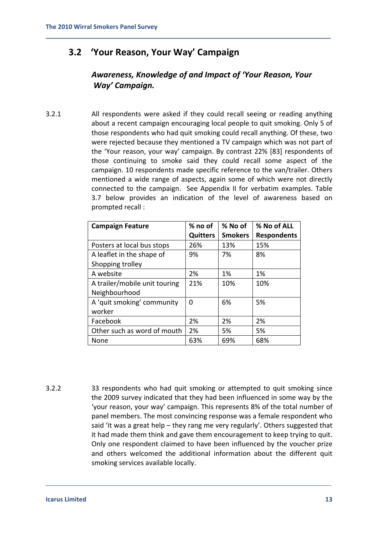# **3.2 'Your Reason, Your Way' Campaign**

# *Awareness, Knowledge of and Impact of 'Your Reason, Your Way' Campaign.*

**\_\_\_\_\_\_\_\_\_\_\_\_\_\_\_\_\_\_\_\_\_\_\_\_\_\_\_\_\_\_\_\_\_\_\_\_\_\_\_\_\_\_\_\_\_\_\_\_\_\_\_\_\_\_\_\_\_\_\_\_\_\_\_\_\_\_\_\_\_\_\_\_\_\_\_\_\_\_\_\_\_\_**

3.2.1 All respondents were asked if they could recall seeing or reading anything about a recent campaign encouraging local people to quit smoking. Only 5 of those respondents who had quit smoking could recall anything. Of these, two were rejected because they mentioned a TV campaign which was not part of the 'Your reason, your way' campaign. By contrast 22% [83] respondents of those continuing to smoke said they could recall some aspect of the campaign. 10 respondents made specific reference to the van/trailer. Others mentioned a wide range of aspects, again some of which were not directly connected to the campaign. See Appendix II for verbatim examples. Table 3.7 below provides an indication of the level of awareness based on prompted recall :

| <b>Campaign Feature</b>       | $%$ no of       | % No of        | % No of ALL        |
|-------------------------------|-----------------|----------------|--------------------|
|                               | <b>Quitters</b> | <b>Smokers</b> | <b>Respondents</b> |
| Posters at local bus stops    | 26%             | 13%            | 15%                |
| A leaflet in the shape of     | 9%              | 7%             | 8%                 |
| Shopping trolley              |                 |                |                    |
| A website                     | 2%              | 1%             | 1%                 |
| A trailer/mobile unit touring | 21%             | 10%            | 10%                |
| Neighbourhood                 |                 |                |                    |
| A 'quit smoking' community    | 0               | 6%             | 5%                 |
| worker                        |                 |                |                    |
| Facebook                      | 2%              | 2%             | 2%                 |
| Other such as word of mouth   | 2%              | 5%             | 5%                 |
| None                          | 63%             | 69%            | 68%                |

3.2.2 33 respondents who had quit smoking or attempted to quit smoking since the 2009 survey indicated that they had been influenced in some way by the 'your reason, your way' campaign. This represents 8% of the total number of panel members. The most convincing response was a female respondent who said 'it was a great help – they rang me very regularly'. Others suggested that it had made them think and gave them encouragement to keep trying to quit. Only one respondent claimed to have been influenced by the voucher prize and others welcomed the additional information about the different quit smoking services available locally.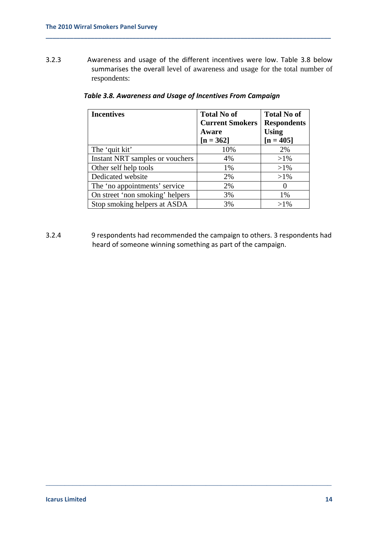3.2.3 Awareness and usage of the different incentives were low. Table 3.8 below summarises the overall level of awareness and usage for the total number of respondents:

**\_\_\_\_\_\_\_\_\_\_\_\_\_\_\_\_\_\_\_\_\_\_\_\_\_\_\_\_\_\_\_\_\_\_\_\_\_\_\_\_\_\_\_\_\_\_\_\_\_\_\_\_\_\_\_\_\_\_\_\_\_\_\_\_\_\_\_\_\_\_\_\_\_\_\_\_\_\_\_\_\_\_**

| <b>Incentives</b>               | <b>Total No of</b>     | <b>Total No of</b> |
|---------------------------------|------------------------|--------------------|
|                                 | <b>Current Smokers</b> | <b>Respondents</b> |
|                                 | Aware                  | <b>Using</b>       |
|                                 | $[n = 362]$            | $[n = 405]$        |
| The 'quit kit'                  | 10%                    | 2%                 |
| Instant NRT samples or vouchers | 4%                     | $>1\%$             |
| Other self help tools           | 1%                     | $>1\%$             |
| Dedicated website               | 2%                     | $>1\%$             |
| The 'no appointments' service   | 2%                     | $\theta$           |
| On street 'non smoking' helpers | 3%                     | 1%                 |
| Stop smoking helpers at ASDA    | 3%                     | $>1\%$             |

### *Table 3.8. Awareness and Usage of Incentives From Campaign*

3.2.4 9 respondents had recommended the campaign to others. 3 respondents had heard of someone winning something as part of the campaign.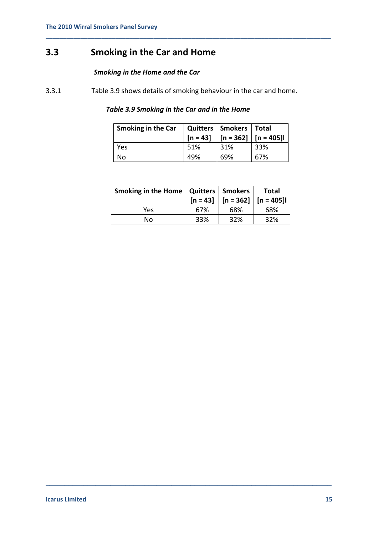# **3.3 Smoking in the Car and Home**

## *Smoking in the Home and the Car*

3.3.1 Table 3.9 shows details of smoking behaviour in the car and home.

## *Table 3.9 Smoking in the Car and in the Home*

**\_\_\_\_\_\_\_\_\_\_\_\_\_\_\_\_\_\_\_\_\_\_\_\_\_\_\_\_\_\_\_\_\_\_\_\_\_\_\_\_\_\_\_\_\_\_\_\_\_\_\_\_\_\_\_\_\_\_\_\_\_\_\_\_\_\_\_\_\_\_\_\_\_\_\_\_\_\_\_\_\_\_**

| Smoking in the Car |      | Quitters   Smokers   Total<br>$[n = 43]$   $[n = 362]$   $[n = 405]$ |     |
|--------------------|------|----------------------------------------------------------------------|-----|
| Yes                | .51% | 31%                                                                  | 33% |
| No                 | 49%  | 69%                                                                  | 67% |

| Smoking in the Home   Quitters   Smokers |     | $[n = 43]$   $[n = 362]$   $[n = 405]$ | <b>Total</b> |
|------------------------------------------|-----|----------------------------------------|--------------|
| Yes                                      | 67% | 68%                                    | 68%          |
| Nο                                       | 33% | 32%                                    | 32%          |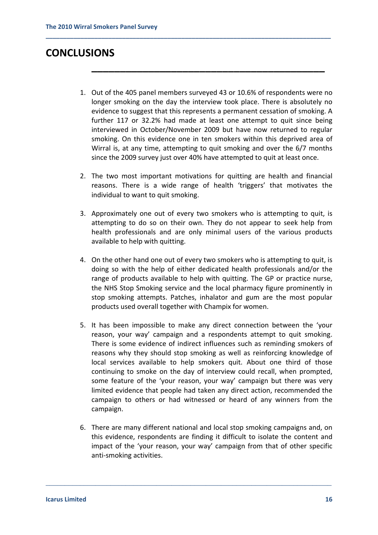# **CONCLUSIONS**

1. Out of the 405 panel members surveyed 43 or 10.6% of respondents were no longer smoking on the day the interview took place. There is absolutely no evidence to suggest that this represents a permanent cessation of smoking. A further 117 or 32.2% had made at least one attempt to quit since being interviewed in October/November 2009 but have now returned to regular smoking. On this evidence one in ten smokers within this deprived area of Wirral is, at any time, attempting to quit smoking and over the 6/7 months since the 2009 survey just over 40% have attempted to quit at least once.

**\_\_\_\_\_\_\_\_\_\_\_\_\_\_\_\_\_\_\_\_\_\_\_\_\_\_\_\_\_\_\_\_\_\_\_\_\_\_\_\_\_**

**\_\_\_\_\_\_\_\_\_\_\_\_\_\_\_\_\_\_\_\_\_\_\_\_\_\_\_\_\_\_\_\_\_\_\_\_\_\_\_\_\_\_\_\_\_\_\_\_\_\_\_\_\_\_\_\_\_\_\_\_\_\_\_\_\_\_\_\_\_\_\_\_\_\_\_\_\_\_\_\_\_\_**

- 2. The two most important motivations for quitting are health and financial reasons. There is a wide range of health 'triggers' that motivates the individual to want to quit smoking.
- 3. Approximately one out of every two smokers who is attempting to quit, is attempting to do so on their own. They do not appear to seek help from health professionals and are only minimal users of the various products available to help with quitting.
- 4. On the other hand one out of every two smokers who is attempting to quit, is doing so with the help of either dedicated health professionals and/or the range of products available to help with quitting. The GP or practice nurse, the NHS Stop Smoking service and the local pharmacy figure prominently in stop smoking attempts. Patches, inhalator and gum are the most popular products used overall together with Champix for women.
- 5. It has been impossible to make any direct connection between the 'your reason, your way' campaign and a respondents attempt to quit smoking. There is some evidence of indirect influences such as reminding smokers of reasons why they should stop smoking as well as reinforcing knowledge of local services available to help smokers quit. About one third of those continuing to smoke on the day of interview could recall, when prompted, some feature of the 'your reason, your way' campaign but there was very limited evidence that people had taken any direct action, recommended the campaign to others or had witnessed or heard of any winners from the campaign.
- 6. There are many different national and local stop smoking campaigns and, on this evidence, respondents are finding it difficult to isolate the content and impact of the 'your reason, your way' campaign from that of other specific anti‐smoking activities.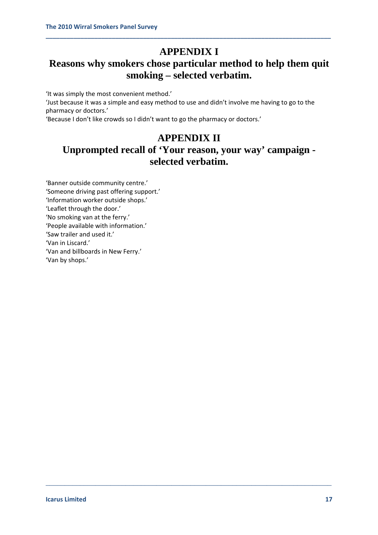# **APPENDIX I**

**\_\_\_\_\_\_\_\_\_\_\_\_\_\_\_\_\_\_\_\_\_\_\_\_\_\_\_\_\_\_\_\_\_\_\_\_\_\_\_\_\_\_\_\_\_\_\_\_\_\_\_\_\_\_\_\_\_\_\_\_\_\_\_\_\_\_\_\_\_\_\_\_\_\_\_\_\_\_\_\_\_\_**

# **Reasons why smokers chose particular method to help them quit smoking – selected verbatim.**

'It was simply the most convenient method.'

'Just because it was a simple and easy method to use and didn't involve me having to go to the pharmacy or doctors.'

'Because I don't like crowds so I didn't want to go the pharmacy or doctors.'

# **APPENDIX II**

# **Unprompted recall of 'Your reason, your way' campaign selected verbatim.**

\_\_\_\_\_\_\_\_\_\_\_\_\_\_\_\_\_\_\_\_\_\_\_\_\_\_\_\_\_\_\_\_\_\_\_\_\_\_\_\_\_\_\_\_\_\_\_\_\_\_\_\_\_\_\_\_\_\_\_\_\_\_\_\_\_\_\_\_\_\_\_\_\_\_\_

'Banner outside community centre.' 'Someone driving past offering support.' 'Information worker outside shops.' 'Leaflet through the door.' 'No smoking van at the ferry.' 'People available with information.' 'Saw trailer and used it.' 'Van in Liscard.' 'Van and billboards in New Ferry.' 'Van by shops.'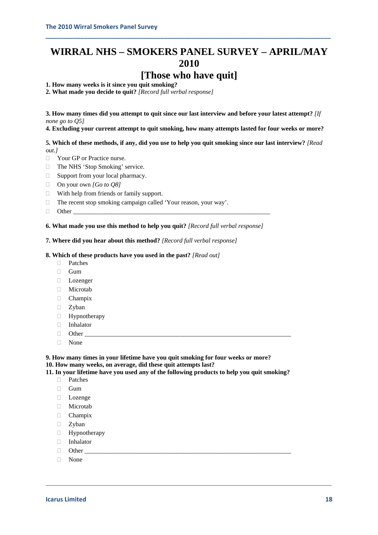# **WIRRAL NHS – SMOKERS PANEL SURVEY – APRIL/MAY 2010**

**\_\_\_\_\_\_\_\_\_\_\_\_\_\_\_\_\_\_\_\_\_\_\_\_\_\_\_\_\_\_\_\_\_\_\_\_\_\_\_\_\_\_\_\_\_\_\_\_\_\_\_\_\_\_\_\_\_\_\_\_\_\_\_\_\_\_\_\_\_\_\_\_\_\_\_\_\_\_\_\_\_\_**

# **[Those who have quit]**

**1. How many weeks is it since you quit smoking?** 

**2. What made you decide to quit?** *[Record full verbal response]* 

**3. How many times did you attempt to quit since our last interview and before your latest attempt?** *[If none go to Q5]* 

**4. Excluding your current attempt to quit smoking, how many attempts lasted for four weeks or more?** 

**5. Which of these methods, if any, did you use to help you quit smoking since our last interview?** *[Read out.]* 

- **Nour GP** or Practice nurse.
- □ The NHS 'Stop Smoking' service.
- □ Support from your local pharmacy.
- On your own *[Go to Q8]*
- With help from friends or family support.
- $\Box$  The recent stop smoking campaign called 'Your reason, your way'.
- $\Box$  Other

**6. What made you use this method to help you quit?** *[Record full verbal response]* 

**7. Where did you hear about this method?** *[Record full verbal response]* 

#### **8. Which of these products have you used in the past?** *[Read out]*

- Patches
- $\Box$  Gum
- Lozenger
- □ Microtab
- Champix
- D Zyban
- Hypnotherapy
- Inhalator
- Other \_\_\_\_\_\_\_\_\_\_\_\_\_\_\_\_\_\_\_\_\_\_\_\_\_\_\_\_\_\_\_\_\_\_\_\_\_\_\_\_\_\_\_\_\_\_\_\_\_\_\_\_\_\_\_\_\_\_\_\_\_\_\_\_\_
- None

**9. How many times in your lifetime have you quit smoking for four weeks or more? 10. How many weeks, on average, did these quit attempts last?** 

**11. In your lifetime have you used any of the following products to help you quit smoking?** 

- Patches
- $\Box$  Gum
- **Lozenge**
- Microtab
- Champix
- □ Zyban
- **Hypnotherapy**
- Inhalator
- $\Box$  Other
- None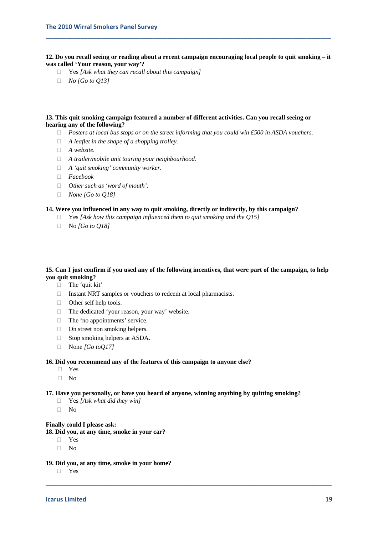**12. Do you recall seeing or reading about a recent campaign encouraging local people to quit smoking – it was called 'Your reason, your way'?** 

**\_\_\_\_\_\_\_\_\_\_\_\_\_\_\_\_\_\_\_\_\_\_\_\_\_\_\_\_\_\_\_\_\_\_\_\_\_\_\_\_\_\_\_\_\_\_\_\_\_\_\_\_\_\_\_\_\_\_\_\_\_\_\_\_\_\_\_\_\_\_\_\_\_\_\_\_\_\_\_\_\_\_**

- Yes *[Ask what they can recall about this campaign]*
- *No [Go to Q13]*

#### **13. This quit smoking campaign featured a number of different activities. Can you recall seeing or hearing any of the following?**

- *Posters at local bus stops or on the street informing that you could win £500 in ASDA vouchers.*
- *A leaflet in the shape of a shopping trolley.*
- *A website.*
- *A trailer/mobile unit touring your neighbourhood.*
- *A 'quit smoking' community worker.*
- *Facebook*
- *Other such as 'word of mouth'.*
- *None [Go to Q18]*

#### **14. Were you influenced in any way to quit smoking, directly or indirectly, by this campaign?**

- Yes *[Ask how this campaign influenced them to quit smoking and the Q15]*
- No *[Go to Q18]*

#### **15. Can I just confirm if you used any of the following incentives, that were part of the campaign, to help you quit smoking?**

- $\Box$  The 'quit kit'
- $\Box$  Instant NRT samples or vouchers to redeem at local pharmacists.
- □ Other self help tools.
- $\Box$  The dedicated 'your reason, your way' website.
- □ The 'no appointments' service.
- □ On street non smoking helpers.
- $\Box$  Stop smoking helpers at ASDA.
- None *[Go toQ17]*

#### **16. Did you recommend any of the features of this campaign to anyone else?**

- Yes
- $\neg$  No

#### **17. Have you personally, or have you heard of anyone, winning anything by quitting smoking?**

\_\_\_\_\_\_\_\_\_\_\_\_\_\_\_\_\_\_\_\_\_\_\_\_\_\_\_\_\_\_\_\_\_\_\_\_\_\_\_\_\_\_\_\_\_\_\_\_\_\_\_\_\_\_\_\_\_\_\_\_\_\_\_\_\_\_\_\_\_\_\_\_\_\_\_

- Yes *[Ask what did they win]*
- $\neg$  No

#### **Finally could I please ask:**

- **18. Did you, at any time, smoke in your car?** 
	- Yes
	- $\neg$  No
- **19. Did you, at any time, smoke in your home?** 
	- Yes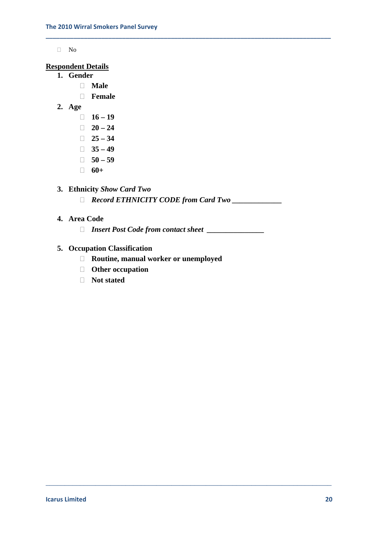No

### **Respondent Details**

- **1. Gender** 
	- **Male**
	- **Female**
- **2. Age** 
	- **16 19**
	- $\Box$  20 24
	- $\Box$  25 34
	- $\Box$  35 49
	- $\Box$  50 59
	- $\Box$  **60+**

## **3. Ethnicity** *Show Card Two*

*Record ETHNICITY CODE from Card Two \_\_\_\_\_\_\_\_\_\_\_\_\_*

\_\_\_\_\_\_\_\_\_\_\_\_\_\_\_\_\_\_\_\_\_\_\_\_\_\_\_\_\_\_\_\_\_\_\_\_\_\_\_\_\_\_\_\_\_\_\_\_\_\_\_\_\_\_\_\_\_\_\_\_\_\_\_\_\_\_\_\_\_\_\_\_\_\_\_

**\_\_\_\_\_\_\_\_\_\_\_\_\_\_\_\_\_\_\_\_\_\_\_\_\_\_\_\_\_\_\_\_\_\_\_\_\_\_\_\_\_\_\_\_\_\_\_\_\_\_\_\_\_\_\_\_\_\_\_\_\_\_\_\_\_\_\_\_\_\_\_\_\_\_\_\_\_\_\_\_\_\_**

## **4. Area Code**

*Insert Post Code from contact sheet \_\_\_\_\_\_\_\_\_\_\_\_\_\_\_* 

## **5. Occupation Classification**

- **Routine, manual worker or unemployed**
- **Other occupation**
- **Not stated**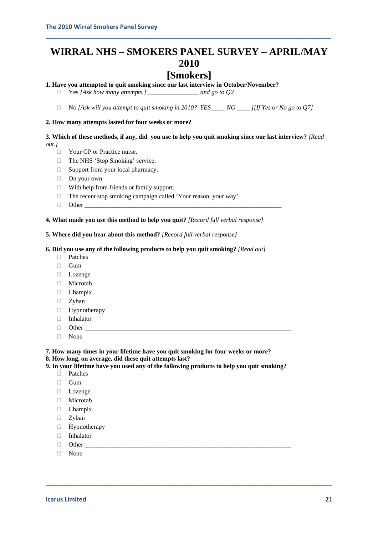# **WIRRAL NHS – SMOKERS PANEL SURVEY – APRIL/MAY 2010**

**\_\_\_\_\_\_\_\_\_\_\_\_\_\_\_\_\_\_\_\_\_\_\_\_\_\_\_\_\_\_\_\_\_\_\_\_\_\_\_\_\_\_\_\_\_\_\_\_\_\_\_\_\_\_\_\_\_\_\_\_\_\_\_\_\_\_\_\_\_\_\_\_\_\_\_\_\_\_\_\_\_\_**

# **[Smokers]**

### **1. Have you attempted to quit smoking since our last interview in October/November?**

Yes *[Ask how many attempts.] \_\_\_\_\_\_\_\_\_\_\_\_\_\_\_\_ and go to Q2*

No *[Ask will you attempt to quit smoking in 2010? YES \_\_\_\_ NO \_\_\_\_ ][If Yes or No go to Q7]*

#### **2. How many attempts lasted for four weeks or more?**

**3. Which of these methods, if any, did you use to help you quit smoking since our last interview?** *[Read out.]* 

- □ Your GP or Practice nurse.
- □ The NHS 'Stop Smoking' service.
- □ Support from your local pharmacy.
- □ On your own
- $\Box$  With help from friends or family support.
- $\Box$  The recent stop smoking campaign called 'Your reason, your way'.
- $\Box$  Other

#### **4. What made you use this method to help you quit?** *[Record full verbal response]*

#### **5. Where did you hear about this method?** *[Record full verbal response]*

#### **6. Did you use any of the following products to help you quit smoking?** *[Read out]*

- Patches
- □ Gum
- Lozenge
- Microtab
- Champix
- □ Zyban
- Hypnotherapy
- Inhalator
- $\Box$  Other
- None

#### **7. How many times in your lifetime have you quit smoking for four weeks or more?**

- **8. How long, on average, did these quit attempts last?**
- **9. In your lifetime have you used any of the following products to help you quit smoking?**

- Patches
- □ Gum
- Lozenge
- Microtab
- Champix
- □ Zyban
- $\Box$  Hypnotherapy
- $\Box$  Inhalator
- Other \_\_\_\_\_\_\_\_\_\_\_\_\_\_\_\_\_\_\_\_\_\_\_\_\_\_\_\_\_\_\_\_\_\_\_\_\_\_\_\_\_\_\_\_\_\_\_\_\_\_\_\_\_\_\_\_\_\_\_\_\_\_\_\_\_
- None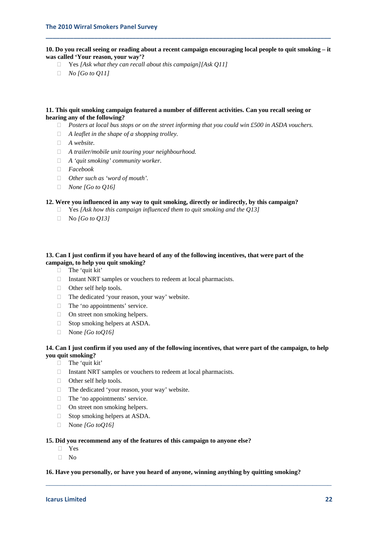**10. Do you recall seeing or reading about a recent campaign encouraging local people to quit smoking – it was called 'Your reason, your way'?** 

**\_\_\_\_\_\_\_\_\_\_\_\_\_\_\_\_\_\_\_\_\_\_\_\_\_\_\_\_\_\_\_\_\_\_\_\_\_\_\_\_\_\_\_\_\_\_\_\_\_\_\_\_\_\_\_\_\_\_\_\_\_\_\_\_\_\_\_\_\_\_\_\_\_\_\_\_\_\_\_\_\_\_**

- Yes *[Ask what they can recall about this campaign][Ask Q11]*
- *No [Go to Q11]*

#### **11. This quit smoking campaign featured a number of different activities. Can you recall seeing or hearing any of the following?**

- *Posters at local bus stops or on the street informing that you could win £500 in ASDA vouchers.*
- *A leaflet in the shape of a shopping trolley.*
- *A website.*
- *A trailer/mobile unit touring your neighbourhood.*
- *A 'quit smoking' community worker.*
- *Facebook*
- *Other such as 'word of mouth'.*
- *None [Go to Q16]*

#### **12. Were you influenced in any way to quit smoking, directly or indirectly, by this campaign?**

- Yes *[Ask how this campaign influenced them to quit smoking and the Q13]*
- No *[Go to Q13]*

#### **13. Can I just confirm if you have heard of any of the following incentives, that were part of the campaign, to help you quit smoking?**

- $\Box$  The 'quit kit'
- $\Box$  Instant NRT samples or vouchers to redeem at local pharmacists.
- □ Other self help tools.
- $\Box$  The dedicated 'your reason, your way' website.
- □ The 'no appointments' service.
- □ On street non smoking helpers.
- □ Stop smoking helpers at ASDA.
- None *[Go toQ16]*

#### **14. Can I just confirm if you used any of the following incentives, that were part of the campaign, to help you quit smoking?**

- □ The 'quit kit'
- $\Box$  Instant NRT samples or vouchers to redeem at local pharmacists.
- □ Other self help tools.
- $\Box$  The dedicated 'your reason, your way' website.
- □ The 'no appointments' service.
- $\Box$  On street non smoking helpers.
- □ Stop smoking helpers at ASDA.
- None *[Go toQ16]*

#### **15. Did you recommend any of the features of this campaign to anyone else?**

- Yes
- $\neg$  No

#### **16. Have you personally, or have you heard of anyone, winning anything by quitting smoking?**